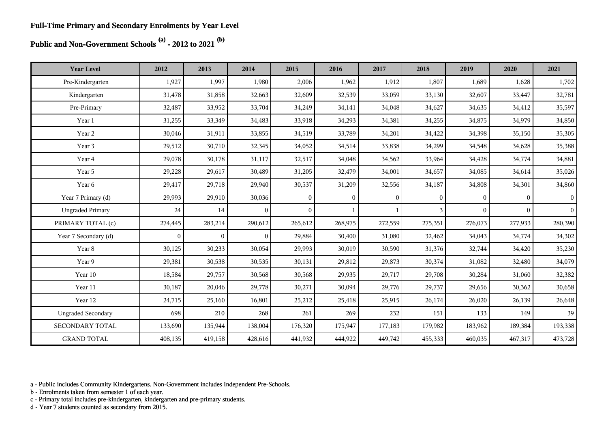# **Public and Non-Government Schools (a) - 2012 to 2021 (b)**

| <b>Year Level</b>         | 2012         | 2013         | 2014           | 2015           | 2016           | 2017           | 2018           | 2019         | 2020     | 2021      |
|---------------------------|--------------|--------------|----------------|----------------|----------------|----------------|----------------|--------------|----------|-----------|
| Pre-Kindergarten          | 1,927        | 1,997        | 1,980          | 2,006          | 1,962          | 1,912          | 1,807          | 1,689        | 1,628    | 1,702     |
| Kindergarten              | 31,478       | 31,858       | 32,663         | 32,609         | 32,539         | 33,059         | 33,130         | 32,607       | 33,447   | 32,781    |
| Pre-Primary               | 32,487       | 33,952       | 33,704         | 34,249         | 34,141         | 34,048         | 34,627         | 34,635       | 34,412   | 35,597    |
| Year 1                    | 31,255       | 33,349       | 34,483         | 33,918         | 34,293         | 34,381         | 34,255         | 34,875       | 34,979   | 34,850    |
| Year 2                    | 30,046       | 31,911       | 33,855         | 34,519         | 33,789         | 34,201         | 34,422         | 34,398       | 35,150   | 35,305    |
| Year 3                    | 29,512       | 30,710       | 32,345         | 34,052         | 34,514         | 33,838         | 34,299         | 34,548       | 34,628   | 35,388    |
| Year 4                    | 29,078       | 30,178       | 31,117         | 32,517         | 34,048         | 34,562         | 33,964         | 34,428       | 34,774   | 34,881    |
| Year 5                    | 29,228       | 29,617       | 30,489         | 31,205         | 32,479         | 34,001         | 34,657         | 34,085       | 34,614   | 35,026    |
| Year 6                    | 29,417       | 29,718       | 29,940         | 30,537         | 31,209         | 32,556         | 34,187         | 34,808       | 34,301   | 34,860    |
| Year 7 Primary (d)        | 29,993       | 29,910       | 30,036         | $\overline{0}$ | $\overline{0}$ | $\overline{0}$ | $\overline{0}$ | $\mathbf{0}$ | $\Omega$ | $\vert$ 0 |
| <b>Ungraded Primary</b>   | 24           | 14           | $\overline{0}$ | $\mathbf{0}$   |                |                | 3              | $\theta$     | $\Omega$ | $\vert$ 0 |
| PRIMARY TOTAL (c)         | 274,445      | 283,214      | 290,612        | 265,612        | 268,975        | 272,559        | 275,351        | 276,073      | 277,933  | 280,390   |
| Year 7 Secondary (d)      | $\mathbf{0}$ | $\mathbf{0}$ | $\mathbf{0}$   | 29,884         | 30,400         | 31,080         | 32,462         | 34,043       | 34,774   | 34,302    |
| Year 8                    | 30,125       | 30,233       | 30,054         | 29,993         | 30,019         | 30,590         | 31,376         | 32,744       | 34,420   | 35,230    |
| Year 9                    | 29,381       | 30,538       | 30,535         | 30,131         | 29,812         | 29,873         | 30,374         | 31,082       | 32,480   | 34,079    |
| Year 10                   | 18,584       | 29,757       | 30,568         | 30,568         | 29,935         | 29,717         | 29,708         | 30,284       | 31,060   | 32,382    |
| Year 11                   | 30,187       | 20,046       | 29,778         | 30,271         | 30,094         | 29,776         | 29,737         | 29,656       | 30,362   | 30,658    |
| Year 12                   | 24,715       | 25,160       | 16,801         | 25,212         | 25,418         | 25,915         | 26,174         | 26,020       | 26,139   | 26,648    |
| <b>Ungraded Secondary</b> | 698          | 210          | 268            | 261            | 269            | 232            | 151            | 133          | 149      | 39        |
| SECONDARY TOTAL           | 133,690      | 135,944      | 138,004        | 176,320        | 175,947        | 177,183        | 179,982        | 183,962      | 189,384  | 193,338   |
| <b>GRAND TOTAL</b>        | 408,135      | 419,158      | 428,616        | 441,932        | 444,922        | 449,742        | 455,333        | 460,035      | 467,317  | 473,728   |

a - Public includes Community Kindergartens. Non-Government includes Independent Pre-Schools.

b - Enrolments taken from semester 1 of each year.

c - Primary total includes pre-kindergarten, kindergarten and pre-primary students.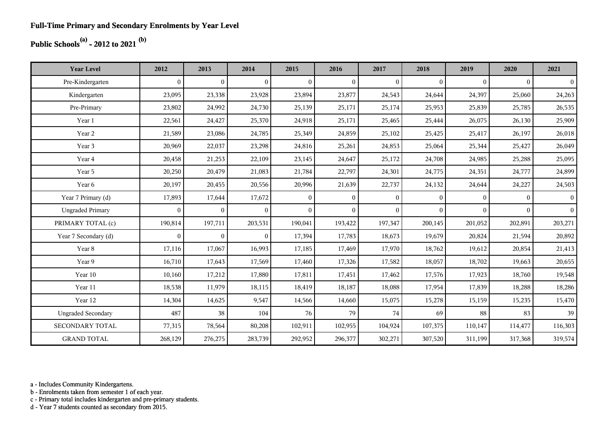## **Public Schools(a) - 2012 to 2021 (b)**

| <b>Year Level</b>         | 2012         | 2013           | 2014           | 2015           | 2016           | 2017           | 2018         | 2019         | 2020     | 2021           |
|---------------------------|--------------|----------------|----------------|----------------|----------------|----------------|--------------|--------------|----------|----------------|
| Pre-Kindergarten          | $\mathbf{0}$ | $\overline{0}$ | $\overline{0}$ | $\overline{0}$ | $\overline{0}$ | $\mathbf{0}$   | $\mathbf{0}$ | $\mathbf{0}$ | $\theta$ | $\overline{0}$ |
| Kindergarten              | 23,095       | 23,338         | 23,928         | 23,894         | 23,877         | 24,543         | 24,644       | 24,397       | 25,060   | 24,263         |
| Pre-Primary               | 23,802       | 24,992         | 24,730         | 25,139         | 25,171         | 25,174         | 25,953       | 25,839       | 25,785   | 26,535         |
| Year 1                    | 22,561       | 24,427         | 25,370         | 24,918         | 25,171         | 25,465         | 25,444       | 26,075       | 26,130   | 25,909         |
| Year 2                    | 21,589       | 23,086         | 24,785         | 25,349         | 24,859         | 25,102         | 25,425       | 25,417       | 26,197   | 26,018         |
| Year 3                    | 20,969       | 22,037         | 23,298         | 24,816         | 25,261         | 24,853         | 25,064       | 25,344       | 25,427   | 26,049         |
| Year 4                    | 20,458       | 21,253         | 22,109         | 23,145         | 24,647         | 25,172         | 24,708       | 24,985       | 25,288   | 25,095         |
| Year 5                    | 20,250       | 20,479         | 21,083         | 21,784         | 22,797         | 24,301         | 24,775       | 24,351       | 24,777   | 24,899         |
| Year 6                    | 20,197       | 20,455         | 20,556         | 20,996         | 21,639         | 22,737         | 24,132       | 24,644       | 24,227   | 24,503         |
| Year 7 Primary (d)        | 17,893       | 17,644         | 17,672         | $\theta$       | $\theta$       | $\overline{0}$ | $\theta$     | $\Omega$     | $\theta$ | $\overline{0}$ |
| <b>Ungraded Primary</b>   | $\mathbf{0}$ | $\overline{0}$ | $\overline{0}$ | $\overline{0}$ | $\theta$       | $\overline{0}$ | $\theta$     | $\Omega$     | $\theta$ | $\vert$ 0      |
| PRIMARY TOTAL (c)         | 190,814      | 197,711        | 203,531        | 190,041        | 193,422        | 197,347        | 200,145      | 201,052      | 202,891  | 203,271        |
| Year 7 Secondary (d)      | $\mathbf{0}$ | $\overline{0}$ | $\overline{0}$ | 17,394         | 17,783         | 18,673         | 19,679       | 20,824       | 21,594   | 20,892         |
| Year 8                    | 17,116       | 17,067         | 16,993         | 17,185         | 17,469         | 17,970         | 18,762       | 19,612       | 20,854   | 21,413         |
| Year 9                    | 16,710       | 17,643         | 17,569         | 17,460         | 17,326         | 17,582         | 18,057       | 18,702       | 19,663   | 20,655         |
| Year 10                   | 10,160       | 17,212         | 17,880         | 17,811         | 17,451         | 17,462         | 17,576       | 17,923       | 18,760   | 19,548         |
| Year 11                   | 18,538       | 11,979         | 18,115         | 18,419         | 18,187         | 18,088         | 17,954       | 17,839       | 18,288   | 18,286         |
| Year 12                   | 14,304       | 14,625         | 9,547          | 14,566         | 14,660         | 15,075         | 15,278       | 15,159       | 15,235   | 15,470         |
| <b>Ungraded Secondary</b> | 487          | 38             | 104            | 76             | 79             | 74             | 69           | 88           | 83       | 39             |
| SECONDARY TOTAL           | 77,315       | 78,564         | 80,208         | 102,911        | 102,955        | 104,924        | 107,375      | 110,147      | 114,477  | 116,303        |
| <b>GRAND TOTAL</b>        | 268,129      | 276,275        | 283,739        | 292,952        | 296,377        | 302,271        | 307,520      | 311,199      | 317,368  | 319,574        |

a - Includes Community Kindergartens.

b - Enrolments taken from semester 1 of each year.

c - Primary total includes kindergarten and pre-primary students.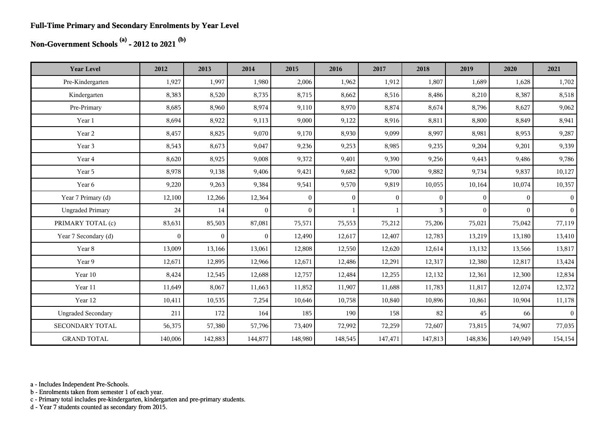#### **Full-Time Primary and Secondary Enrolments by Year Level**

## **Non-Government Schools (a) - 2012 to 2021 (b)**

| <b>Year Level</b>         | 2012         | 2013     | 2014           | 2015           | 2016         | 2017         | 2018     | 2019         | 2020         | 2021           |
|---------------------------|--------------|----------|----------------|----------------|--------------|--------------|----------|--------------|--------------|----------------|
| Pre-Kindergarten          | 1,927        | 1,997    | 1,980          | 2,006          | 1,962        | 1,912        | 1,807    | 1,689        | 1,628        | 1,702          |
| Kindergarten              | 8,383        | 8,520    | 8,735          | 8,715          | 8,662        | 8,516        | 8,486    | 8,210        | 8,387        | 8,518          |
| Pre-Primary               | 8,685        | 8,960    | 8,974          | 9,110          | 8,970        | 8,874        | 8,674    | 8,796        | 8,627        | 9,062          |
| Year 1                    | 8,694        | 8,922    | 9,113          | 9,000          | 9,122        | 8,916        | 8,811    | 8,800        | 8,849        | 8,941          |
| Year 2                    | 8,457        | 8,825    | 9,070          | 9,170          | 8,930        | 9,099        | 8,997    | 8,981        | 8,953        | 9,287          |
| Year 3                    | 8,543        | 8,673    | 9,047          | 9,236          | 9,253        | 8,985        | 9,235    | 9,204        | 9,201        | 9,339          |
| Year 4                    | 8,620        | 8,925    | 9,008          | 9,372          | 9,401        | 9,390        | 9,256    | 9,443        | 9,486        | 9,786          |
| Year 5                    | 8,978        | 9,138    | 9,406          | 9,421          | 9,682        | 9,700        | 9,882    | 9,734        | 9,837        | 10,127         |
| Year 6                    | 9,220        | 9,263    | 9,384          | 9,541          | 9,570        | 9,819        | 10,055   | 10,164       | 10,074       | 10,357         |
| Year 7 Primary (d)        | 12,100       | 12,266   | 12,364         | $\overline{0}$ | $\mathbf{0}$ | $\mathbf{0}$ | $\theta$ | $\mathbf{0}$ | $\mathbf{0}$ | $\vert$        |
| <b>Ungraded Primary</b>   | 24           | 14       | $\mathbf{0}$   | $\theta$       |              |              | 3        | $\Omega$     | $\Omega$     | 0 <sup>1</sup> |
| PRIMARY TOTAL (c)         | 83,631       | 85,503   | 87,081         | 75,571         | 75,553       | 75,212       | 75,206   | 75,021       | 75,042       | 77,119         |
| Year 7 Secondary (d)      | $\mathbf{0}$ | $\bf{0}$ | $\overline{0}$ | 12,490         | 12,617       | 12,407       | 12,783   | 13,219       | 13,180       | 13,410         |
| Year 8                    | 13,009       | 13,166   | 13,061         | 12,808         | 12,550       | 12,620       | 12,614   | 13,132       | 13,566       | 13,817         |
| Year 9                    | 12,671       | 12,895   | 12,966         | 12,671         | 12,486       | 12,291       | 12,317   | 12,380       | 12,817       | 13,424         |
| Year 10                   | 8,424        | 12,545   | 12,688         | 12,757         | 12,484       | 12,255       | 12,132   | 12,361       | 12,300       | 12,834         |
| Year 11                   | 11,649       | 8,067    | 11,663         | 11,852         | 11,907       | 11,688       | 11,783   | 11,817       | 12,074       | 12,372         |
| Year 12                   | 10,411       | 10,535   | 7,254          | 10,646         | 10,758       | 10,840       | 10,896   | 10,861       | 10,904       | 11,178         |
| <b>Ungraded Secondary</b> | 211          | 172      | 164            | 185            | 190          | 158          | 82       | 45           | 66           | $\overline{0}$ |
| <b>SECONDARY TOTAL</b>    | 56,375       | 57,380   | 57,796         | 73,409         | 72,992       | 72,259       | 72,607   | 73,815       | 74,907       | 77,035         |
| <b>GRAND TOTAL</b>        | 140,006      | 142,883  | 144,877        | 148,980        | 148,545      | 147,471      | 147,813  | 148,836      | 149,949      | 154,154        |

a - Includes Independent Pre-Schools.

b - Enrolments taken from semester 1 of each year.

c - Primary total includes pre-kindergarten, kindergarten and pre-primary students.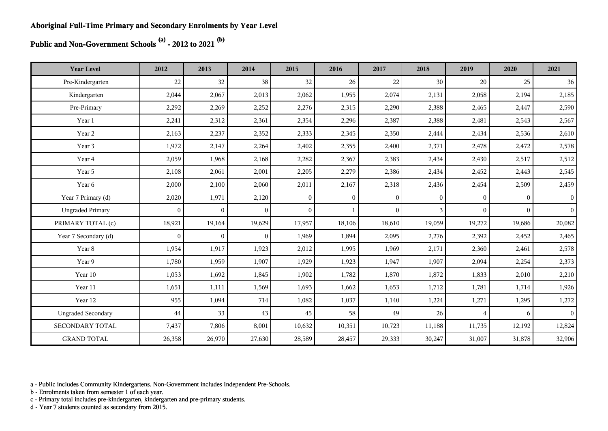**Public and Non-Government Schools (a) - 2012 to 2021 (b)**

| <b>Year Level</b>         | 2012         | 2013           | 2014           | 2015           | 2016           | 2017         | 2018         | 2019             | 2020     | 2021            |
|---------------------------|--------------|----------------|----------------|----------------|----------------|--------------|--------------|------------------|----------|-----------------|
| Pre-Kindergarten          | 22           | 32             | 38             | 32             | 26             | 22           | 30           | 20               | 25       | 36              |
| Kindergarten              | 2,044        | 2,067          | 2,013          | 2,062          | 1,955          | 2,074        | 2,131        | 2,058            | 2,194    | 2,185           |
| Pre-Primary               | 2,292        | 2,269          | 2,252          | 2,276          | 2,315          | 2,290        | 2,388        | 2,465            | 2,447    | 2,590           |
| Year 1                    | 2,241        | 2,312          | 2,361          | 2,354          | 2,296          | 2,387        | 2,388        | 2,481            | 2,543    | 2,567           |
| Year 2                    | 2,163        | 2,237          | 2,352          | 2,333          | 2,345          | 2,350        | 2,444        | 2,434            | 2,536    | 2,610           |
| Year 3                    | 1,972        | 2,147          | 2,264          | 2,402          | 2,355          | 2,400        | 2,371        | 2,478            | 2,472    | 2,578           |
| Year 4                    | 2,059        | 1,968          | 2,168          | 2,282          | 2,367          | 2,383        | 2,434        | 2,430            | 2,517    | 2,512           |
| Year 5                    | 2,108        | 2,061          | 2,001          | 2,205          | 2,279          | 2,386        | 2,434        | 2,452            | 2,443    | 2,545           |
| Year 6                    | 2,000        | 2,100          | 2,060          | 2,011          | 2,167          | 2,318        | 2,436        | 2,454            | 2,509    | 2,459           |
| Year 7 Primary (d)        | 2,020        | 1,971          | 2,120          | $\overline{0}$ | $\overline{0}$ | $\mathbf{0}$ | $\mathbf{0}$ | $\boldsymbol{0}$ | $\Omega$ | $\vert$ 0       |
| <b>Ungraded Primary</b>   | $\mathbf{0}$ | $\overline{0}$ | $\overline{0}$ | $\overline{0}$ |                | $\theta$     | 3            | $\theta$         | $\Omega$ | $\vert$ 0       |
| PRIMARY TOTAL (c)         | 18,921       | 19,164         | 19,629         | 17,957         | 18,106         | 18,610       | 19,059       | 19,272           | 19,686   | 20,082          |
| Year 7 Secondary (d)      | $\mathbf{0}$ | $\overline{0}$ | $\overline{0}$ | 1,969          | 1,894          | 2,095        | 2,276        | 2,392            | 2,452    | 2,465           |
| Year 8                    | 1,954        | 1,917          | 1,923          | 2,012          | 1,995          | 1,969        | 2,171        | 2,360            | 2,461    | 2,578           |
| Year 9                    | 1,780        | 1,959          | 1,907          | 1,929          | 1,923          | 1,947        | 1,907        | 2,094            | 2,254    | 2,373           |
| Year 10                   | 1,053        | 1,692          | 1,845          | 1,902          | 1,782          | 1,870        | 1,872        | 1,833            | 2,010    | 2,210           |
| Year 11                   | 1,651        | 1,111          | 1,569          | 1,693          | 1,662          | 1,653        | 1,712        | 1,781            | 1,714    | 1,926           |
| Year 12                   | 955          | 1,094          | 714            | 1,082          | 1,037          | 1,140        | 1,224        | 1,271            | 1,295    | 1,272           |
| <b>Ungraded Secondary</b> | 44           | 33             | 43             | 45             | 58             | 49           | 26           | $\overline{4}$   | 6        | $\vert 0 \vert$ |
| SECONDARY TOTAL           | 7,437        | 7,806          | 8,001          | 10,632         | 10,351         | 10,723       | 11,188       | 11,735           | 12,192   | 12,824          |
| <b>GRAND TOTAL</b>        | 26,358       | 26,970         | 27,630         | 28,589         | 28,457         | 29,333       | 30,247       | 31,007           | 31,878   | 32,906          |

a - Public includes Community Kindergartens. Non-Government includes Independent Pre-Schools.

b - Enrolments taken from semester 1 of each year.

c - Primary total includes pre-kindergarten, kindergarten and pre-primary students.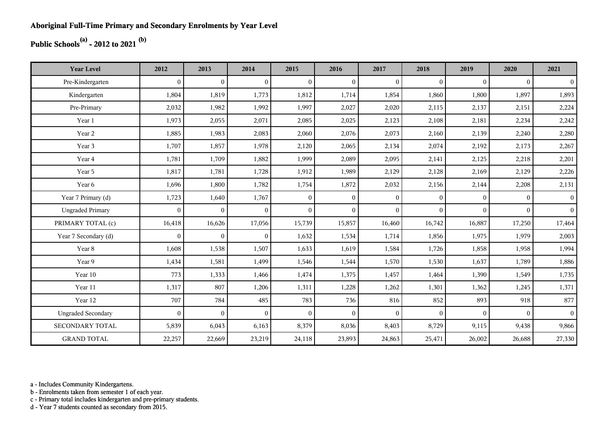## **Public Schools(a) - 2012 to 2021 (b)**

| <b>Year Level</b>         | 2012         | 2013           | 2014           | 2015           | 2016           | 2017           | 2018         | 2019     | 2020     | 2021           |
|---------------------------|--------------|----------------|----------------|----------------|----------------|----------------|--------------|----------|----------|----------------|
| Pre-Kindergarten          | $\theta$     | $\overline{0}$ | $\overline{0}$ | $\Omega$       | $\mathbf{0}$   | $\theta$       | $\mathbf{0}$ | $\Omega$ | $\theta$ | $\overline{0}$ |
| Kindergarten              | 1,804        | 1,819          | 1,773          | 1,812          | 1,714          | 1,854          | 1,860        | 1,800    | 1,897    | 1,893          |
| Pre-Primary               | 2,032        | 1,982          | 1,992          | 1,997          | 2,027          | 2,020          | 2,115        | 2,137    | 2,151    | 2,224          |
| Year 1                    | 1,973        | 2,055          | 2,071          | 2,085          | 2,025          | 2,123          | 2,108        | 2,181    | 2,234    | 2,242          |
| Year 2                    | 1,885        | 1,983          | 2,083          | 2,060          | 2,076          | 2,073          | 2,160        | 2,139    | 2,240    | 2,280          |
| Year 3                    | 1,707        | 1,857          | 1,978          | 2,120          | 2,065          | 2,134          | 2,074        | 2,192    | 2,173    | 2,267          |
| Year 4                    | 1,781        | 1,709          | 1,882          | 1,999          | 2,089          | 2,095          | 2,141        | 2,125    | 2,218    | 2,201          |
| Year 5                    | 1,817        | 1,781          | 1,728          | 1,912          | 1,989          | 2,129          | 2,128        | 2,169    | 2,129    | 2,226          |
| Year 6                    | 1,696        | 1,800          | 1,782          | 1,754          | 1,872          | 2,032          | 2,156        | 2,144    | 2,208    | 2,131          |
| Year 7 Primary (d)        | 1,723        | 1,640          | 1,767          | $\overline{0}$ | $\overline{0}$ | $\overline{0}$ | $\mathbf{0}$ | $\Omega$ | $\theta$ | 0 <sup>1</sup> |
| <b>Ungraded Primary</b>   | $\mathbf{0}$ | $\mathbf{0}$   | $\overline{0}$ | $\overline{0}$ | $\overline{0}$ | $\theta$       | $\mathbf{0}$ | $\Omega$ | $\Omega$ | 0 <sup>1</sup> |
| PRIMARY TOTAL (c)         | 16,418       | 16,626         | 17,056         | 15,739         | 15,857         | 16,460         | 16,742       | 16,887   | 17,250   | 17,464         |
| Year 7 Secondary (d)      | $\mathbf{0}$ | $\mathbf{0}$   | $\overline{0}$ | 1,632          | 1,534          | 1,714          | 1,856        | 1,975    | 1,979    | 2,003          |
| Year 8                    | 1,608        | 1,538          | 1,507          | 1,633          | 1,619          | 1,584          | 1,726        | 1,858    | 1,958    | 1,994          |
| Year 9                    | 1,434        | 1,581          | 1,499          | 1,546          | 1,544          | 1,570          | 1,530        | 1,637    | 1,789    | 1,886          |
| Year 10                   | 773          | 1,333          | 1,466          | 1,474          | 1,375          | 1,457          | 1,464        | 1,390    | 1,549    | 1,735          |
| Year 11                   | 1,317        | 807            | 1,206          | 1,311          | 1,228          | 1,262          | 1,301        | 1,362    | 1,245    | 1,371          |
| Year 12                   | 707          | 784            | 485            | 783            | 736            | 816            | 852          | 893      | 918      | 877            |
| <b>Ungraded Secondary</b> | $\theta$     | $\overline{0}$ | $\overline{0}$ | $\Omega$       | $\mathbf{0}$   | $\theta$       | $\theta$     | $\Omega$ | $\theta$ | 0 <sup>1</sup> |
| <b>SECONDARY TOTAL</b>    | 5,839        | 6,043          | 6,163          | 8,379          | 8,036          | 8,403          | 8,729        | 9,115    | 9,438    | 9,866          |
| <b>GRAND TOTAL</b>        | 22,257       | 22,669         | 23,219         | 24,118         | 23,893         | 24,863         | 25,471       | 26,002   | 26,688   | 27,330         |

a - Includes Community Kindergartens.

b - Enrolments taken from semester 1 of each year.

c - Primary total includes kindergarten and pre-primary students.